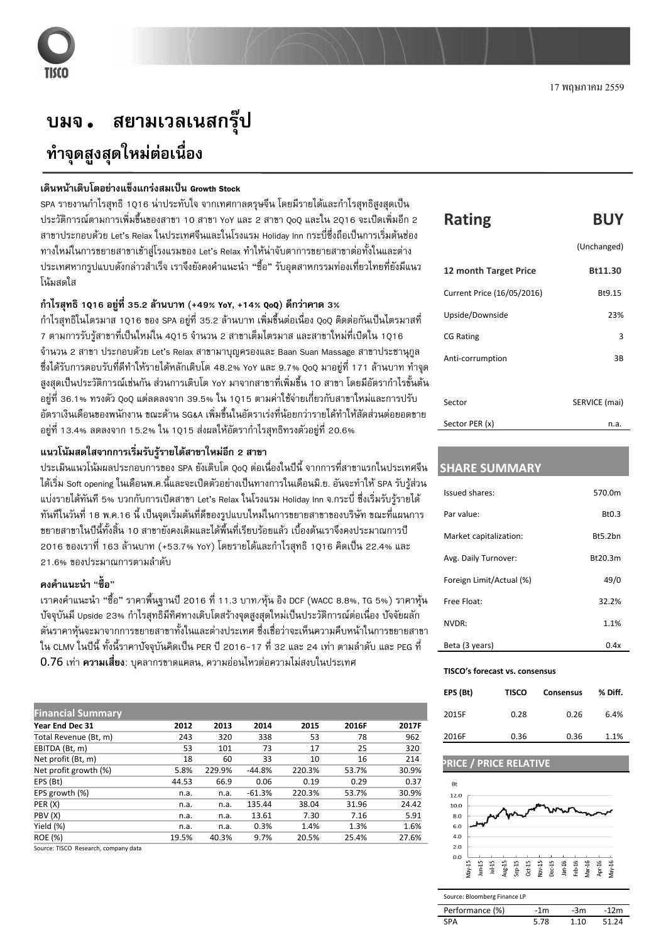## ิสยามเวลเนสกรุ๊ป บมจ. ทำจุดสูงสุดใหม่ต่อเนื่อง

## เดินหน้าเติบโตอย่างแข็งแกร่งสมเป็น Growth Stock

SPA รายงานกำไรสทธิ์ 1016 น่าประทับใจ จากเทศกาลตรษจีน โดยมีรายได้และกำไรสทธิสงสดเป็น ี ประวัติการณ์ตามการเพิ่มขึ้นของสาขา 10 สาขา YoY และ 2 สาขา QoQ และใน 2Q16 จะเปิดเพิ่มอีก 2 ี่ สาขาประกอบด้วย Let's Relax ในประเทศจีนและในโรงแรม Holiday Inn กระบี่ซึ่งถือเป็นการเริ่มต้นช่อง ทางใหม่ในการขยายสาขาเข้าสู่โรงแรมของ Let's Relax ทำให้น่าจับตาการขยายสาขาต่อทั้งในและต่าง ี ประเทศหากรปแบบดังกล่าวสำเร็จ เราจึงยังคงคำแนะนำ "ซื้อ" รับอตสาหกรรมท่องเที่ยวไทยที่ยังมีแนว โน้มสดใส

#### กำไรสุทธิ 1016 อยู่ที่ 35.2 ล้านบาท (+49% YoY, +14% 0o0) ดีกว่าคาด 3%

้ กำไรสทธิในไตรมาส<sup>์</sup> 1016 ของ SPA อย่ที่ 35.2 ล้านบาท เพิ่มขึ้นต่อเนื่อง 0<sub>0</sub>0 ติดต่อกันเป็นไตรมาสที่ ี่ 7 ตามการรับรู้สาขาที่เป็นใหม่ใน 4015 จำนวน 2 สาขาเต็มไตรมาส และสาขาใหม่ที่เปิดใน 1016 ้จำนวน 2 สาขา ประกอบด้วย Let's Relax สาขามาบุญครองและ Baan Suan Massage สาขาประชานุกูล ซึ่งได้รับการตอบรับที่ดีทำให้รายได้หลักเติบโต 48.2% YoY และ 9.7% 0o0 มาอย่ที่ 171 ล้านบาท ทำจด สงสดเป็นประวัติการณ์เช่นกัน ส่วนการเติบโต YoY มาจากสาขาที่เพิ่มขึ้น 10 สาขา โดยมีอัตรากำไรขั้นต้น ้อยู่ที่ 36.1% ทรงตัว QoQ แต่ลดลงจาก 39.5% ใน 1Q15 ตามค่าใช้จ่ายเกี่ยวกับสาขาใหม่และการปรับ ี อัตราเงินเดือนของพนักงาน ขณะด้าน SG&A เพิ่มขึ้นในอัตราเร่งที่น้อยกว่ารายได้ทำให้สัดส่วนต่อยอดขาย ้อยู่ที่ 13.4% ลดลงจาก 15.2% ใน 1015 ส่งผลให้อัตรากำไรสุทธิทรงตัวอยู่ที่ 20.6%

#### ี แนวโน้มสดใสจากการเริ่มรับรู้รายได้สาขาใหม่อีก 2 สาขา

ี ประเมินแนวโน้มผลประกอบการของ SPA ยังเติบโต 0<sub>0</sub>0 ต่อเนื่องในปีนี้ จากการที่สาขาแรกในประเทศจีน ได้เริ่ม Soft opening ในเดือนพ.ค.นี้และจะเปิดตัวอย่างเป็นทางการในเดือนมิ.ย. อันจะทำให้ SPA รับร้ส่วน แบ่งรายได้ทันที 5% บวกกับการเปิดสาขา Let's Relax ในโรงแรม Holiday Inn จ.กระบี่ ซึ่งเริ่มรับรัรายได้ ี ทันทีในวันที่ 18 พ.ค.16 นี้ เป็นจดเริ่มต้นที่ดีของรปแบบใหม่ในการขยายสาขาของบริษัท ขณะที่แผนการ ขยายสาขาในปีนี้ทั้งสิ้น 10 สาขายังคงเดิมและได้พื้นที่เรียบร้อยแล้ว เบื้องต้นเราจึงคงประมาณการปี 2016 ของเราที่ 163 ล้านบาท (+53.7% YoY) โดยรายได้และกำไรสทธิ 1016 คิดเป็น 22.4% และ 21.6% ของประมาณการตามลำดับ

#### คงคำแนะนำ "ซื้อ"

์ เราคงคำแนะนำ "ซื้อ" ราคาพื้นฐานปี 2016 ที่ 11.3 บาท∕หุ้น อิง DCF (WACC 8.8%, TG 5%) ราคาหุ้น ี ปัจจุบันมี Upside 23% กำไรสุทธิมีทิศทางเติบโตสร้างจุดสูงสุดใหม่เป็นประวัติการณ์ต่อเนื่อง ปัจจัยผลัก ้ดันราคาห้นจะมาจากการขยายสาขาทั้งในและต่างประเทศ ซึ่งเชื่อว่าจะเห็นความคืบหน้าในการขยายสาขา ใน CLMV ในปีนี้ ทั้งนี้ราคาบัจจุบันคิดเป็น PER ปี 2016-17 ที่ 32 และ 24 เท่า ตามลำดับ และ PEG ที่ 0.76 เท่า **ความเสี่ยง**: บุคลากรขาดแคลน, ความอ่อนไหวต่อความไม่สงบในประเทศ

| <b>Financial Summary</b> |       |        |          |        |       |       |
|--------------------------|-------|--------|----------|--------|-------|-------|
| Year End Dec 31          | 2012  | 2013   | 2014     | 2015   | 2016F | 2017F |
| Total Revenue (Bt, m)    | 243   | 320    | 338      | 53     | 78    | 962   |
| EBITDA (Bt, m)           | 53    | 101    | 73       | 17     | 25    | 320   |
| Net profit (Bt, m)       | 18    | 60     | 33       | 10     | 16    | 214   |
| Net profit growth (%)    | 5.8%  | 229.9% | $-44.8%$ | 220.3% | 53.7% | 30.9% |
| EPS (Bt)                 | 44.53 | 66.9   | 0.06     | 0.19   | 0.29  | 0.37  |
| EPS growth (%)           | n.a.  | n.a.   | $-61.3%$ | 220.3% | 53.7% | 30.9% |
| PER(X)                   | n.a.  | n.a.   | 135.44   | 38.04  | 31.96 | 24.42 |
| PBV(X)                   | n.a.  | n.a.   | 13.61    | 7.30   | 7.16  | 5.91  |
| Yield (%)                | n.a.  | n.a.   | 0.3%     | 1.4%   | 1.3%  | 1.6%  |
| <b>ROE</b> (%)           | 19.5% | 40.3%  | 9.7%     | 20.5%  | 25.4% | 27.6% |
|                          |       |        |          |        |       |       |

Source: TISCO Research, company data

| <b>Rating</b> | <b>BUY</b> |
|---------------|------------|
|               |            |

|                            | (Unchanged)   |
|----------------------------|---------------|
| 12 month Target Price      | Bt11.30       |
| Current Price (16/05/2016) | Bt9.15        |
| Upside/Downside            | 23%           |
| <b>CG Rating</b>           | 3             |
| Anti-corrumption           | 3B            |
|                            |               |
| Sector                     | SERVICE (mai) |
| Sector PER (x)             | n.a.          |

### **SHARE SUMMARY**

| Issued shares:           | 570.0m  |
|--------------------------|---------|
| Par value:               | Bt0.3   |
| Market capitalization:   | Rt5.2hn |
| Avg. Daily Turnover:     | Bt20.3m |
| Foreign Limit/Actual (%) | 49/0    |
| Free Float:              | 32.2%   |
| NVDR:                    | 1.1%    |
| Beta (3 years)           | 0.4x    |

#### TISCO's forecast vs. consensus

| EPS (Bt) | <b>TISCO</b> | <b>Consensus</b> | % Diff. |
|----------|--------------|------------------|---------|
| 2015F    | 0.28         | 0.26             | 6.4%    |
| 2016F    | 0.36         | 0.36             | 1.1%    |

#### **PRICE** / PRICE RELATIVE



 $5.78$ 

| Source: Bloomberg Finance LP |       |  |
|------------------------------|-------|--|
| Performance (%)              | $-1m$ |  |

**SPA** 

| -3m   | -12m  |
|-------|-------|
| 1 1 0 | 51.24 |